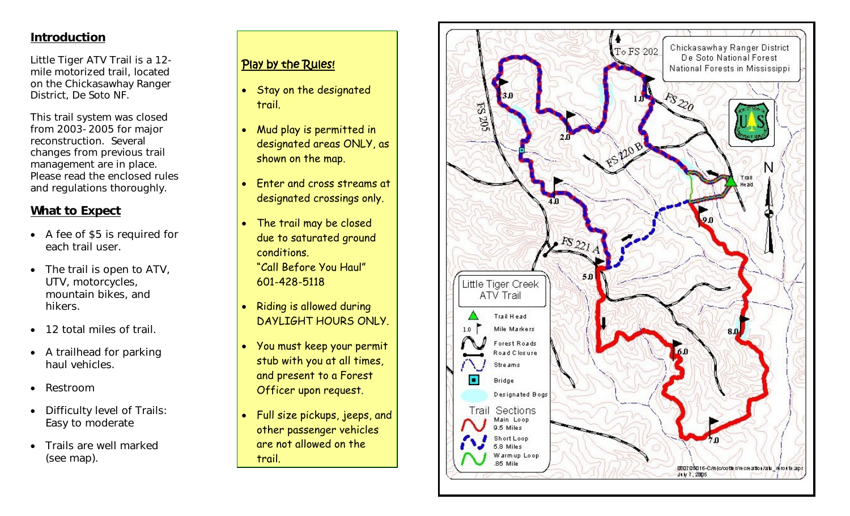## **Introduction**

Little Tiger ATV Trail is a 12 mile motorized trail, located on the Chickasawhay Ranger District, De Soto NF.

This trail system was closed from 2003-2005 for major reconstruction. Several changes from previous trail management are in place. Please read the enclosed rules and regulations thoroughly.

# **What to Expect**

- A fee of \$5 is required for each trail user.
- $\bullet$  The trail is open to ATV, UTV, motorcycles, mountain bikes, and hikers.
- 12 total miles of trail.
- A trailhead for parking haul vehicles.
- . Restroom
- . Difficulty level of Trails: Easy to moderate
- $\bullet$  Trails are well marked (see map).

# Play by the Rules!

- $\bullet$  Stay on the designated trail.
- Mud play is permitted in designated areas ONLY, as shown on the map.
- Enter and cross streams at designated crossings only.
- The trail may be closed due to saturated ground conditions. "Call Before You Haul" 601-428-5118
- $\bullet$  Riding is allowed during DAYLIGHT HOURS ONLY.
- You must keep your permit stub with you at all times, and present to a Forest Officer upon request.
- $\bullet$  Full size pickups, jeeps, and other passenger vehicles are not allowed on the trail.